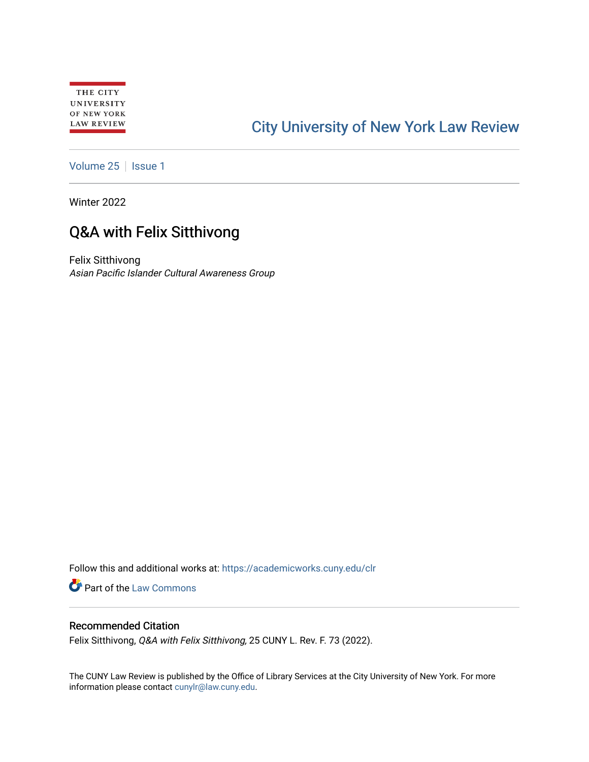# [City University of New York Law Review](https://academicworks.cuny.edu/clr)

[Volume 25](https://academicworks.cuny.edu/clr/vol25) | [Issue 1](https://academicworks.cuny.edu/clr/vol25/iss1)

Winter 2022

# Q&A with Felix Sitthivong

Felix Sitthivong Asian Pacific Islander Cultural Awareness Group

Follow this and additional works at: [https://academicworks.cuny.edu/clr](https://academicworks.cuny.edu/clr?utm_source=academicworks.cuny.edu%2Fclr%2Fvol25%2Fiss1%2F8&utm_medium=PDF&utm_campaign=PDFCoverPages) 

Part of the [Law Commons](http://network.bepress.com/hgg/discipline/578?utm_source=academicworks.cuny.edu%2Fclr%2Fvol25%2Fiss1%2F8&utm_medium=PDF&utm_campaign=PDFCoverPages)

# Recommended Citation

Felix Sitthivong, Q&A with Felix Sitthivong, 25 CUNY L. Rev. F. 73 (2022).

The CUNY Law Review is published by the Office of Library Services at the City University of New York. For more information please contact [cunylr@law.cuny.edu](mailto:cunylr@law.cuny.edu).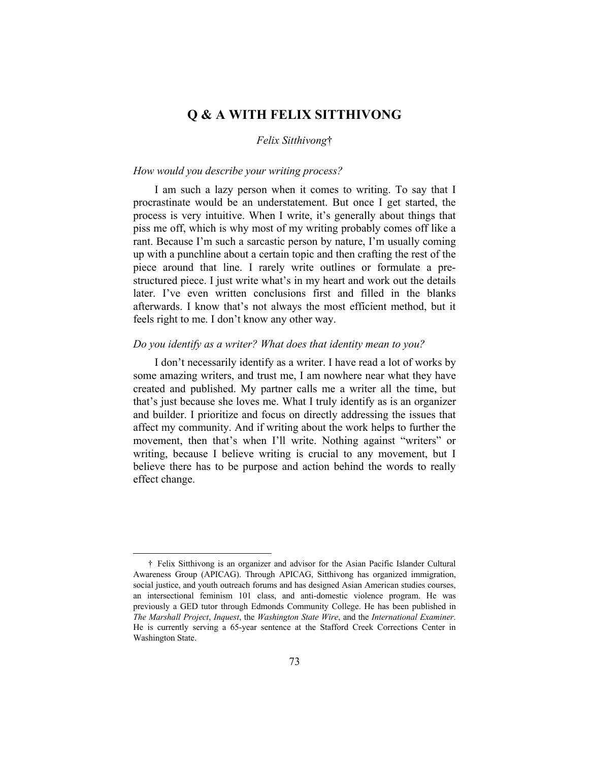# **Q & A WITH FELIX SITTHIVONG**

#### *Felix Sitthivong*†

### *How would you describe your writing process?*

I am such a lazy person when it comes to writing. To say that I procrastinate would be an understatement. But once I get started, the process is very intuitive. When I write, it's generally about things that piss me off, which is why most of my writing probably comes off like a rant. Because I'm such a sarcastic person by nature, I'm usually coming up with a punchline about a certain topic and then crafting the rest of the piece around that line. I rarely write outlines or formulate a prestructured piece. I just write what's in my heart and work out the details later. I've even written conclusions first and filled in the blanks afterwards. I know that's not always the most efficient method, but it feels right to me. I don't know any other way.

## *Do you identify as a writer? What does that identity mean to you?*

I don't necessarily identify as a writer. I have read a lot of works by some amazing writers, and trust me, I am nowhere near what they have created and published. My partner calls me a writer all the time, but that's just because she loves me. What I truly identify as is an organizer and builder. I prioritize and focus on directly addressing the issues that affect my community. And if writing about the work helps to further the movement, then that's when I'll write. Nothing against "writers" or writing, because I believe writing is crucial to any movement, but I believe there has to be purpose and action behind the words to really effect change.

<sup>†</sup> Felix Sitthivong is an organizer and advisor for the Asian Pacific Islander Cultural Awareness Group (APICAG). Through APICAG, Sitthivong has organized immigration, social justice, and youth outreach forums and has designed Asian American studies courses, an intersectional feminism 101 class, and anti-domestic violence program. He was previously a GED tutor through Edmonds Community College. He has been published in *The Marshall Project*, *Inquest*, the *Washington State Wire*, and the *International Examiner*. He is currently serving a 65-year sentence at the Stafford Creek Corrections Center in Washington State.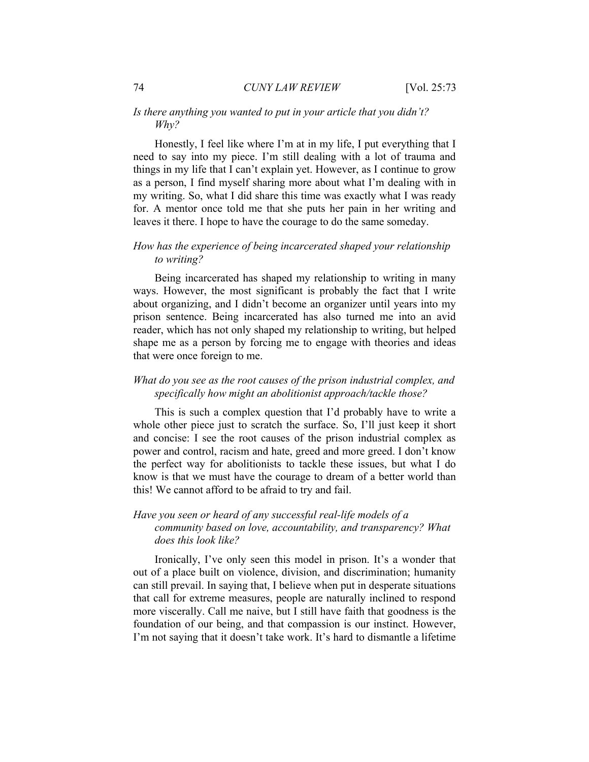## *Is there anything you wanted to put in your article that you didn't? Why?*

Honestly, I feel like where I'm at in my life, I put everything that I need to say into my piece. I'm still dealing with a lot of trauma and things in my life that I can't explain yet. However, as I continue to grow as a person, I find myself sharing more about what I'm dealing with in my writing. So, what I did share this time was exactly what I was ready for. A mentor once told me that she puts her pain in her writing and leaves it there. I hope to have the courage to do the same someday.

## *How has the experience of being incarcerated shaped your relationship to writing?*

Being incarcerated has shaped my relationship to writing in many ways. However, the most significant is probably the fact that I write about organizing, and I didn't become an organizer until years into my prison sentence. Being incarcerated has also turned me into an avid reader, which has not only shaped my relationship to writing, but helped shape me as a person by forcing me to engage with theories and ideas that were once foreign to me.

# *What do you see as the root causes of the prison industrial complex, and specifically how might an abolitionist approach/tackle those?*

This is such a complex question that I'd probably have to write a whole other piece just to scratch the surface. So, I'll just keep it short and concise: I see the root causes of the prison industrial complex as power and control, racism and hate, greed and more greed. I don't know the perfect way for abolitionists to tackle these issues, but what I do know is that we must have the courage to dream of a better world than this! We cannot afford to be afraid to try and fail.

# *Have you seen or heard of any successful real-life models of a community based on love, accountability, and transparency? What does this look like?*

Ironically, I've only seen this model in prison. It's a wonder that out of a place built on violence, division, and discrimination; humanity can still prevail. In saying that, I believe when put in desperate situations that call for extreme measures, people are naturally inclined to respond more viscerally. Call me naive, but I still have faith that goodness is the foundation of our being, and that compassion is our instinct. However, I'm not saying that it doesn't take work. It's hard to dismantle a lifetime